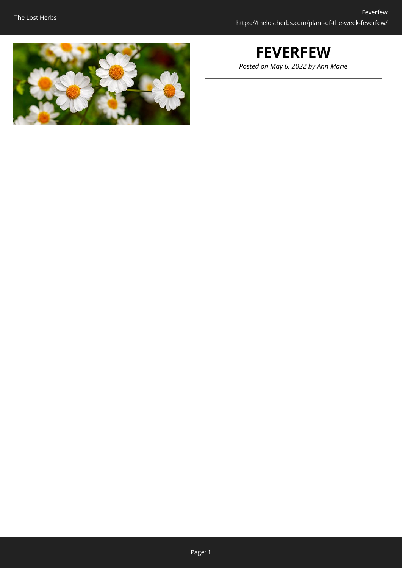

# **FEVERFEW**

*Posted on May 6, 2022 by Ann Marie*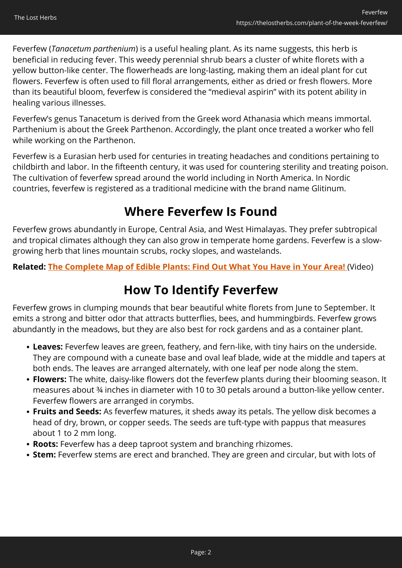Feverfew (*Tanacetum parthenium*) is a useful healing plant. As its name suggests, this herb is beneficial in reducing fever. This weedy perennial shrub bears a cluster of white florets with a yellow button-like center. The flowerheads are long-lasting, making them an ideal plant for cut flowers. Feverfew is often used to fill floral arrangements, either as dried or fresh flowers. More than its beautiful bloom, feverfew is considered the "medieval aspirin" with its potent ability in healing various illnesses.

Feverfew's genus Tanacetum is derived from the Greek word Athanasia which means immortal. Parthenium is about the Greek Parthenon. Accordingly, the plant once treated a worker who fell while working on the Parthenon.

Feverfew is a Eurasian herb used for centuries in treating headaches and conditions pertaining to childbirth and labor. In the fifteenth century, it was used for countering sterility and treating poison. The cultivation of feverfew spread around the world including in North America. In Nordic countries, feverfew is registered as a traditional medicine with the brand name Glitinum.

# **Where Feverfew Is Found**

Feverfew grows abundantly in Europe, Central Asia, and West Himalayas. They prefer subtropical and tropical climates although they can also grow in temperate home gardens. Feverfew is a slowgrowing herb that lines mountain scrubs, rocky slopes, and wastelands.

**Related: [The Complete Map of Edible Plants: Find Out What You Have in Your Area!](https://hop.clickbank.net/?affiliate=easycellar&vendor=wfguide&tid=C02FeverfewFGW1)** (Video)

# **How To Identify Feverfew**

Feverfew grows in clumping mounds that bear beautiful white florets from June to September. It emits a strong and bitter odor that attracts butterflies, bees, and hummingbirds. Feverfew grows abundantly in the meadows, but they are also best for rock gardens and as a container plant.

- **Leaves:** Feverfew leaves are green, feathery, and fern-like, with tiny hairs on the underside. They are compound with a cuneate base and oval leaf blade, wide at the middle and tapers at both ends. The leaves are arranged alternately, with one leaf per node along the stem.
- **Flowers:** The white, daisy-like flowers dot the feverfew plants during their blooming season. It measures about ¾ inches in diameter with 10 to 30 petals around a button-like yellow center. Feverfew flowers are arranged in corymbs.
- **Fruits and Seeds:** As feverfew matures, it sheds away its petals. The yellow disk becomes a head of dry, brown, or copper seeds. The seeds are tuft-type with pappus that measures about 1 to 2 mm long.
- **Roots:** Feverfew has a deep taproot system and branching rhizomes.
- **Stem:** Feverfew stems are erect and branched. They are green and circular, but with lots of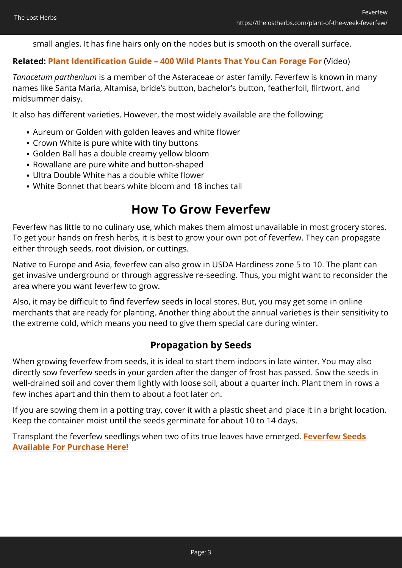small angles. It has fine hairs only on the nodes but is smooth on the overall surface.

#### **Related: [Plant Identification Guide – 400 Wild Plants That You Can Forage For](https://hop.clickbank.net/?affiliate=easycellar&vendor=wfguide&tid=C02FeverfewFGW2)** (Video)

*Tanacetum parthenium* is a member of the Asteraceae or aster family. Feverfew is known in many names like Santa Maria, Altamisa, bride's button, bachelor's button, featherfoil, flirtwort, and midsummer daisy.

It also has different varieties. However, the most widely available are the following:

- Aureum or Golden with golden leaves and white flower
- Crown White is pure white with tiny buttons
- Golden Ball has a double creamy yellow bloom
- Rowallane are pure white and button-shaped
- Ultra Double White has a double white flower
- White Bonnet that bears white bloom and 18 inches tall

## **How To Grow Feverfew**

Feverfew has little to no culinary use, which makes them almost unavailable in most grocery stores. To get your hands on fresh herbs, it is best to grow your own pot of feverfew. They can propagate either through seeds, root division, or cuttings.

Native to Europe and Asia, feverfew can also grow in USDA Hardiness zone 5 to 10. The plant can get invasive underground or through aggressive re-seeding. Thus, you might want to reconsider the area where you want feverfew to grow.

Also, it may be difficult to find feverfew seeds in local stores. But, you may get some in online merchants that are ready for planting. Another thing about the annual varieties is their sensitivity to the extreme cold, which means you need to give them special care during winter.

### **Propagation by Seeds**

When growing feverfew from seeds, it is ideal to start them indoors in late winter. You may also directly sow feverfew seeds in your garden after the danger of frost has passed. Sow the seeds in well-drained soil and cover them lightly with loose soil, about a quarter inch. Plant them in rows a few inches apart and thin them to about a foot later on.

If you are sowing them in a potting tray, cover it with a plastic sheet and place it in a bright location. Keep the container moist until the seeds germinate for about 10 to 14 days.

Transplant the feverfew seedlings when two of its true leaves have emerged. **[Feverfew Seeds](https://hop.clickbank.net/?affiliate=easycellar&vendor=bookofren&tid=C02FeverfewMK1) [Available For Purchase Here!](https://hop.clickbank.net/?affiliate=easycellar&vendor=bookofren&tid=C02FeverfewMK1)**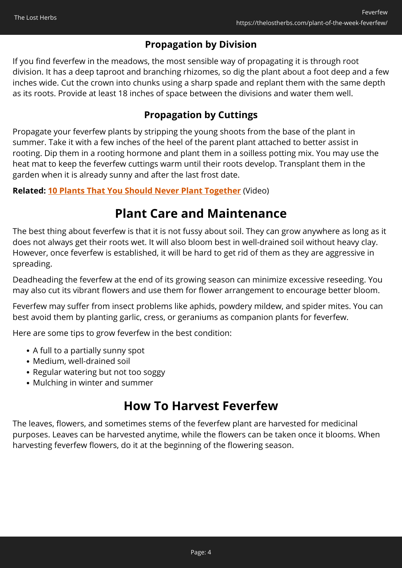### **Propagation by Division**

If you find feverfew in the meadows, the most sensible way of propagating it is through root division. It has a deep taproot and branching rhizomes, so dig the plant about a foot deep and a few inches wide. Cut the crown into chunks using a sharp spade and replant them with the same depth as its roots. Provide at least 18 inches of space between the divisions and water them well.

### **Propagation by Cuttings**

Propagate your feverfew plants by stripping the young shoots from the base of the plant in summer. Take it with a few inches of the heel of the parent plant attached to better assist in rooting. Dip them in a rooting hormone and plant them in a soilless potting mix. You may use the heat mat to keep the feverfew cuttings warm until their roots develop. Transplant them in the garden when it is already sunny and after the last frost date.

#### **Related: [10 Plants That You Should Never Plant Together](https://hop.clickbank.net/?affiliate=easycellar&vendor=sbackyard&tid=C02LovageSSB)** (Video)

## **Plant Care and Maintenance**

The best thing about feverfew is that it is not fussy about soil. They can grow anywhere as long as it does not always get their roots wet. It will also bloom best in well-drained soil without heavy clay. However, once feverfew is established, it will be hard to get rid of them as they are aggressive in spreading.

Deadheading the feverfew at the end of its growing season can minimize excessive reseeding. You may also cut its vibrant flowers and use them for flower arrangement to encourage better bloom.

Feverfew may suffer from insect problems like aphids, powdery mildew, and spider mites. You can best avoid them by planting garlic, cress, or geraniums as companion plants for feverfew.

Here are some tips to grow feverfew in the best condition:

- A full to a partially sunny spot
- Medium, well-drained soil
- Regular watering but not too soggy
- Mulching in winter and summer

### **How To Harvest Feverfew**

The leaves, flowers, and sometimes stems of the feverfew plant are harvested for medicinal purposes. Leaves can be harvested anytime, while the flowers can be taken once it blooms. When harvesting feverfew flowers, do it at the beginning of the flowering season.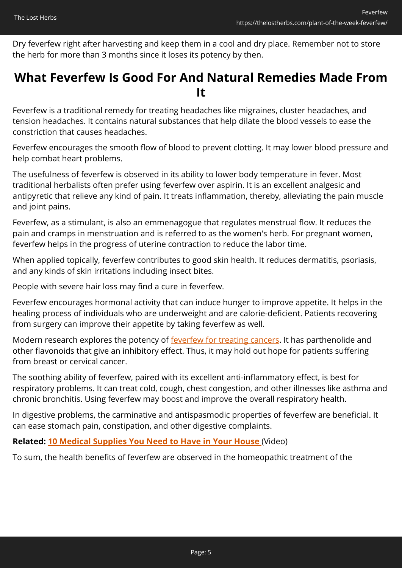Dry feverfew right after harvesting and keep them in a cool and dry place. Remember not to store the herb for more than 3 months since it loses its potency by then.

### **What Feverfew Is Good For And Natural Remedies Made From It**

Feverfew is a traditional remedy for treating headaches like migraines, cluster headaches, and tension headaches. It contains natural substances that help dilate the blood vessels to ease the constriction that causes headaches.

Feverfew encourages the smooth flow of blood to prevent clotting. It may lower blood pressure and help combat heart problems.

The usefulness of feverfew is observed in its ability to lower body temperature in fever. Most traditional herbalists often prefer using feverfew over aspirin. It is an excellent analgesic and antipyretic that relieve any kind of pain. It treats inflammation, thereby, alleviating the pain muscle and joint pains.

Feverfew, as a stimulant, is also an emmenagogue that regulates menstrual flow. It reduces the pain and cramps in menstruation and is referred to as the women's herb. For pregnant women, feverfew helps in the progress of uterine contraction to reduce the labor time.

When applied topically, feverfew contributes to good skin health. It reduces dermatitis, psoriasis, and any kinds of skin irritations including insect bites.

People with severe hair loss may find a cure in feverfew.

Feverfew encourages hormonal activity that can induce hunger to improve appetite. It helps in the healing process of individuals who are underweight and are calorie-deficient. Patients recovering from surgery can improve their appetite by taking feverfew as well.

Modern research explores the potency of [feverfew for treating cancers.](https://www.mdpi.com/1424-8247/13/8/194/pdf) It has parthenolide and other flavonoids that give an inhibitory effect. Thus, it may hold out hope for patients suffering from breast or cervical cancer.

The soothing ability of feverfew, paired with its excellent anti-inflammatory effect, is best for respiratory problems. It can treat cold, cough, chest congestion, and other illnesses like asthma and chronic bronchitis. Using feverfew may boost and improve the overall respiratory health.

In digestive problems, the carminative and antispasmodic properties of feverfew are beneficial. It can ease stomach pain, constipation, and other digestive complaints.

#### **Related: [10 Medical Supplies You Need to Have in Your House](https://hop.clickbank.net/?affiliate=easycellar&vendor=homedoc&tid=C02FeverfewHMD)** (Video)

To sum, the health benefits of feverfew are observed in the homeopathic treatment of the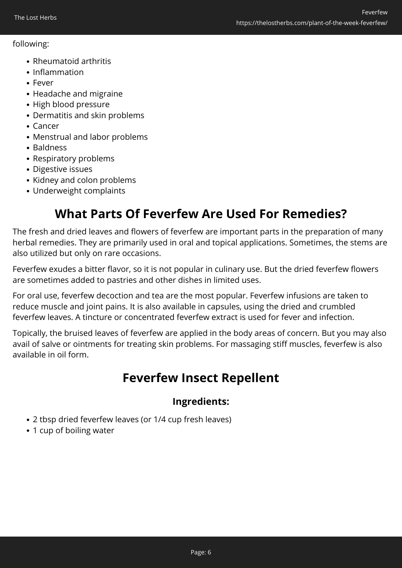#### following:

- Rheumatoid arthritis
- Inflammation
- Fever
- Headache and migraine
- High blood pressure
- Dermatitis and skin problems
- Cancer
- Menstrual and labor problems
- Baldness
- Respiratory problems
- Digestive issues
- Kidney and colon problems
- Underweight complaints

# **What Parts Of Feverfew Are Used For Remedies?**

The fresh and dried leaves and flowers of feverfew are important parts in the preparation of many herbal remedies. They are primarily used in oral and topical applications. Sometimes, the stems are also utilized but only on rare occasions.

Feverfew exudes a bitter flavor, so it is not popular in culinary use. But the dried feverfew flowers are sometimes added to pastries and other dishes in limited uses.

For oral use, feverfew decoction and tea are the most popular. Feverfew infusions are taken to reduce muscle and joint pains. It is also available in capsules, using the dried and crumbled feverfew leaves. A tincture or concentrated feverfew extract is used for fever and infection.

Topically, the bruised leaves of feverfew are applied in the body areas of concern. But you may also avail of salve or ointments for treating skin problems. For massaging stiff muscles, feverfew is also available in oil form.

# **Feverfew Insect Repellent**

### **Ingredients:**

- 2 tbsp dried feverfew leaves (or 1/4 cup fresh leaves)
- 1 cup of boiling water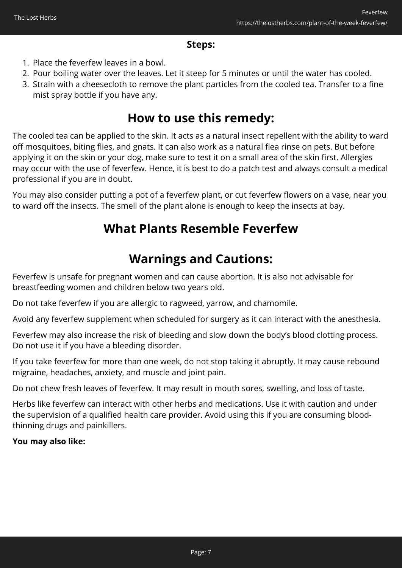### **Steps:**

- 1. Place the feverfew leaves in a bowl.
- 2. Pour boiling water over the leaves. Let it steep for 5 minutes or until the water has cooled.
- 3. Strain with a cheesecloth to remove the plant particles from the cooled tea. Transfer to a fine mist spray bottle if you have any.

### **How to use this remedy:**

The cooled tea can be applied to the skin. It acts as a natural insect repellent with the ability to ward off mosquitoes, biting flies, and gnats. It can also work as a natural flea rinse on pets. But before applying it on the skin or your dog, make sure to test it on a small area of the skin first. Allergies may occur with the use of feverfew. Hence, it is best to do a patch test and always consult a medical professional if you are in doubt.

You may also consider putting a pot of a feverfew plant, or cut feverfew flowers on a vase, near you to ward off the insects. The smell of the plant alone is enough to keep the insects at bay.

## **What Plants Resemble Feverfew**

# **Warnings and Cautions:**

Feverfew is unsafe for pregnant women and can cause abortion. It is also not advisable for breastfeeding women and children below two years old.

Do not take feverfew if you are allergic to ragweed, yarrow, and chamomile.

Avoid any feverfew supplement when scheduled for surgery as it can interact with the anesthesia.

Feverfew may also increase the risk of bleeding and slow down the body's blood clotting process. Do not use it if you have a bleeding disorder.

If you take feverfew for more than one week, do not stop taking it abruptly. It may cause rebound migraine, headaches, anxiety, and muscle and joint pain.

Do not chew fresh leaves of feverfew. It may result in mouth sores, swelling, and loss of taste.

Herbs like feverfew can interact with other herbs and medications. Use it with caution and under the supervision of a qualified health care provider. Avoid using this if you are consuming bloodthinning drugs and painkillers.

#### **You may also like:**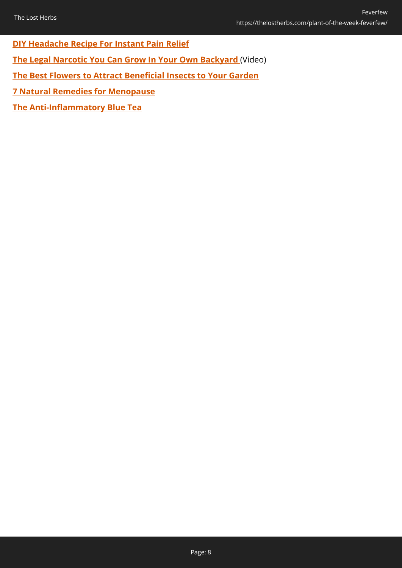**[DIY Headache Recipe For Instant Pain Relief](https://thelostherbs.com/diy-headache-recipe-for-instant-pain-relief/)**

**[The Legal Narcotic You Can Grow In Your Own Backyard](https://hop.clickbank.net/?affiliate=easycellar&vendor=wfguide&tid=C02FeverfewFGW)** (Video)

**[The Best Flowers to Attract Beneficial Insects to Your Garden](https://thelostherbs.com/the-best-flowers-to-attract-beneficial-insects-to-your-garden/)**

**[7 Natural Remedies for Menopause](https://thelostherbs.com/7-natural-remedies-for-menopause/)**

**[The Anti-Inflammatory Blue Tea](https://thelostherbs.com/the-anti-inflammatory-blue-tea/)**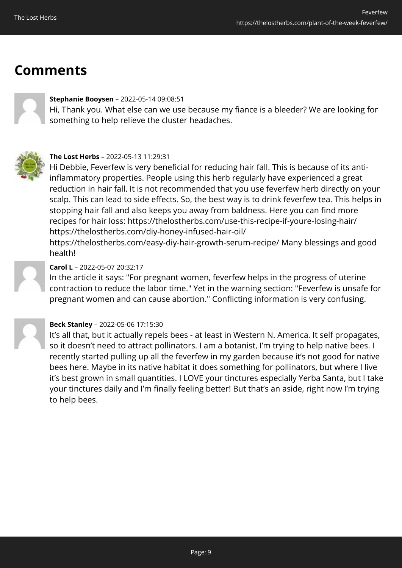# **Comments**



#### **Stephanie Booysen** – 2022-05-14 09:08:51

Hi, Thank you. What else can we use because my fiance is a bleeder? We are looking for something to help relieve the cluster headaches.



#### **The Lost Herbs** – 2022-05-13 11:29:31

Hi Debbie, Feverfew is very beneficial for reducing hair fall. This is because of its antiinflammatory properties. People using this herb regularly have experienced a great reduction in hair fall. It is not recommended that you use feverfew herb directly on your scalp. This can lead to side effects. So, the best way is to drink feverfew tea. This helps in stopping hair fall and also keeps you away from baldness. Here you can find more recipes for hair loss: https://thelostherbs.com/use-this-recipe-if-youre-losing-hair/ https://thelostherbs.com/diy-honey-infused-hair-oil/

https://thelostherbs.com/easy-diy-hair-growth-serum-recipe/ Many blessings and good health!



#### **Carol L** – 2022-05-07 20:32:17

In the article it says: "For pregnant women, feverfew helps in the progress of uterine contraction to reduce the labor time." Yet in the warning section: "Feverfew is unsafe for pregnant women and can cause abortion." Conflicting information is very confusing.



#### **Beck Stanley** – 2022-05-06 17:15:30

It's all that, but it actually repels bees - at least in Western N. America. It self propagates, so it doesn't need to attract pollinators. I am a botanist, I'm trying to help native bees. I recently started pulling up all the feverfew in my garden because it's not good for native bees here. Maybe in its native habitat it does something for pollinators, but where I live it's best grown in small quantities. I LOVE your tinctures especially Yerba Santa, but I take your tinctures daily and I'm finally feeling better! But that's an aside, right now I'm trying to help bees.